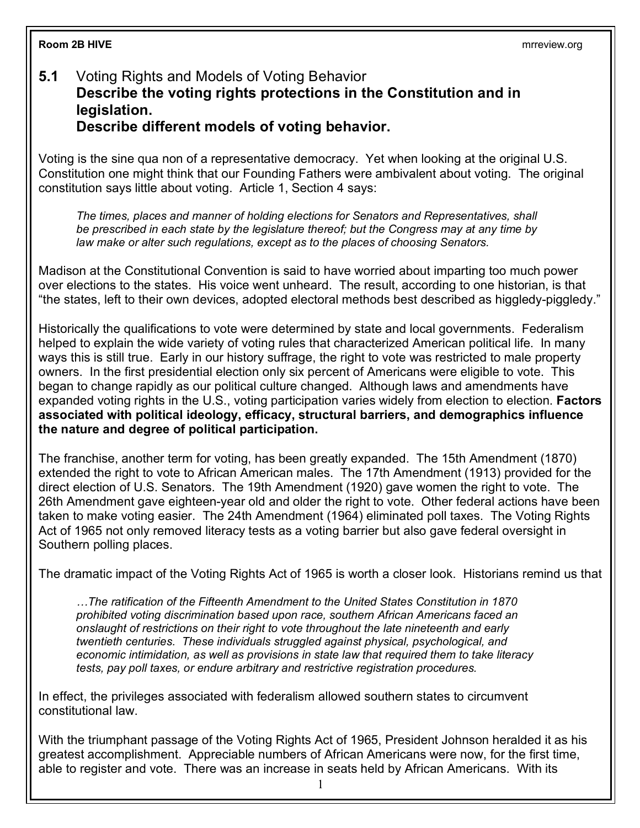## **5.1** Voting Rights and Models of Voting Behavior **Describe the voting rights protections in the Constitution and in legislation. Describe different models of voting behavior.**

Voting is the sine qua non of a representative democracy. Yet when looking at the original U.S. Constitution one might think that our Founding Fathers were ambivalent about voting. The original constitution says little about voting. Article 1, Section 4 says:

*The times, places and manner of holding elections for Senators and Representatives, shall be prescribed in each state by the legislature thereof; but the Congress may at any time by law make or alter such regulations, except as to the places of choosing Senators.*

Madison at the Constitutional Convention is said to have worried about imparting too much power over elections to the states. His voice went unheard. The result, according to one historian, is that "the states, left to their own devices, adopted electoral methods best described as higgledy-piggledy."

Historically the qualifications to vote were determined by state and local governments. Federalism helped to explain the wide variety of voting rules that characterized American political life. In many ways this is still true. Early in our history suffrage, the right to vote was restricted to male property owners. In the first presidential election only six percent of Americans were eligible to vote. This began to change rapidly as our political culture changed. Although laws and amendments have expanded voting rights in the U.S., voting participation varies widely from election to election. **Factors associated with political ideology, efficacy, structural barriers, and demographics influence the nature and degree of political participation.**

The franchise, another term for voting, has been greatly expanded. The 15th Amendment (1870) extended the right to vote to African American males. The 17th Amendment (1913) provided for the direct election of U.S. Senators. The 19th Amendment (1920) gave women the right to vote. The 26th Amendment gave eighteen-year old and older the right to vote. Other federal actions have been taken to make voting easier. The 24th Amendment (1964) eliminated poll taxes. The Voting Rights Act of 1965 not only removed literacy tests as a voting barrier but also gave federal oversight in Southern polling places.

The dramatic impact of the Voting Rights Act of 1965 is worth a closer look. Historians remind us that

*…The ratification of the Fifteenth Amendment to the United States Constitution in 1870 prohibited voting discrimination based upon race, southern African Americans faced an onslaught of restrictions on their right to vote throughout the late nineteenth and early twentieth centuries. These individuals struggled against physical, psychological, and economic intimidation, as well as provisions in state law that required them to take literacy tests, pay poll taxes, or endure arbitrary and restrictive registration procedures.*

In effect, the privileges associated with federalism allowed southern states to circumvent constitutional law.

With the triumphant passage of the Voting Rights Act of 1965, President Johnson heralded it as his greatest accomplishment. Appreciable numbers of African Americans were now, for the first time, able to register and vote. There was an increase in seats held by African Americans. With its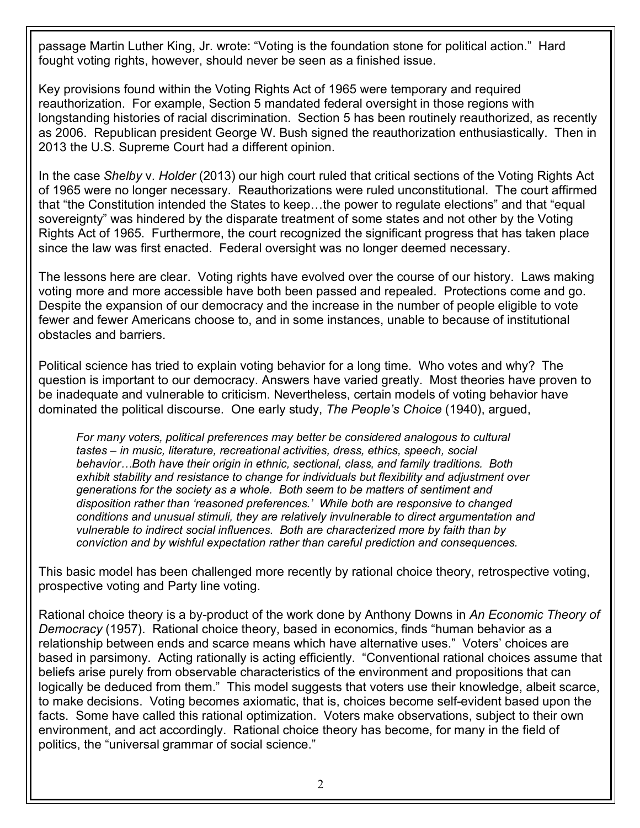passage Martin Luther King, Jr. wrote: "Voting is the foundation stone for political action." Hard fought voting rights, however, should never be seen as a finished issue.

Key provisions found within the Voting Rights Act of 1965 were temporary and required reauthorization. For example, Section 5 mandated federal oversight in those regions with longstanding histories of racial discrimination. Section 5 has been routinely reauthorized, as recently as 2006. Republican president George W. Bush signed the reauthorization enthusiastically. Then in 2013 the U.S. Supreme Court had a different opinion.

In the case *Shelby* v. *Holder* (2013) our high court ruled that critical sections of the Voting Rights Act of 1965 were no longer necessary. Reauthorizations were ruled unconstitutional. The court affirmed that "the Constitution intended the States to keep…the power to regulate elections" and that "equal sovereignty" was hindered by the disparate treatment of some states and not other by the Voting Rights Act of 1965. Furthermore, the court recognized the significant progress that has taken place since the law was first enacted. Federal oversight was no longer deemed necessary.

The lessons here are clear. Voting rights have evolved over the course of our history. Laws making voting more and more accessible have both been passed and repealed. Protections come and go. Despite the expansion of our democracy and the increase in the number of people eligible to vote fewer and fewer Americans choose to, and in some instances, unable to because of institutional obstacles and barriers.

Political science has tried to explain voting behavior for a long time. Who votes and why? The question is important to our democracy. Answers have varied greatly. Most theories have proven to be inadequate and vulnerable to criticism. Nevertheless, certain models of voting behavior have dominated the political discourse. One early study, *The People's Choice* (1940), argued,

*For many voters, political preferences may better be considered analogous to cultural tastes – in music, literature, recreational activities, dress, ethics, speech, social behavior…Both have their origin in ethnic, sectional, class, and family traditions. Both exhibit stability and resistance to change for individuals but flexibility and adjustment over generations for the society as a whole. Both seem to be matters of sentiment and disposition rather than 'reasoned preferences.' While both are responsive to changed conditions and unusual stimuli, they are relatively invulnerable to direct argumentation and vulnerable to indirect social influences. Both are characterized more by faith than by conviction and by wishful expectation rather than careful prediction and consequences.*

This basic model has been challenged more recently by rational choice theory, retrospective voting, prospective voting and Party line voting.

Rational choice theory is a by-product of the work done by Anthony Downs in *An Economic Theory of Democracy* (1957). Rational choice theory, based in economics, finds "human behavior as a relationship between ends and scarce means which have alternative uses." Voters' choices are based in parsimony. Acting rationally is acting efficiently. "Conventional rational choices assume that beliefs arise purely from observable characteristics of the environment and propositions that can logically be deduced from them." This model suggests that voters use their knowledge, albeit scarce, to make decisions. Voting becomes axiomatic, that is, choices become self-evident based upon the facts. Some have called this rational optimization. Voters make observations, subject to their own environment, and act accordingly. Rational choice theory has become, for many in the field of politics, the "universal grammar of social science."